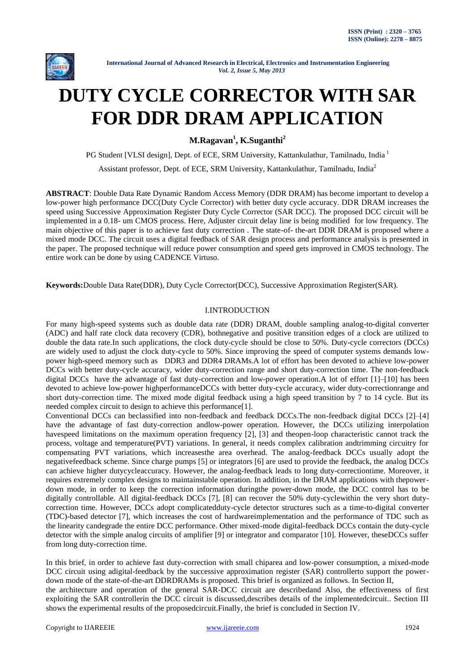

# **DUTY CYCLE CORRECTOR WITH SAR FOR DDR DRAM APPLICATION**

**M.Ragavan<sup>1</sup> , K.Suganthi<sup>2</sup>**

PG Student [VLSI design], Dept. of ECE, SRM University, Kattankulathur, Tamilnadu, India<sup>1</sup>

Assistant professor, Dept. of ECE, SRM University, Kattankulathur, Tamilnadu, India<sup>2</sup>

**ABSTRACT**: Double Data Rate Dynamic Random Access Memory (DDR DRAM) has become important to develop a low-power high performance DCC(Duty Cycle Corrector) with better duty cycle accuracy. DDR DRAM increases the speed using Successive Approximation Register Duty Cycle Corrector (SAR DCC). The proposed DCC circuit will be implemented in a 0.18- um CMOS process. Here, Adjuster circuit delay line is being modified for low frequency. The main objective of this paper is to achieve fast duty correction . The state-of- the-art DDR DRAM is proposed where a mixed mode DCC. The circuit uses a digital feedback of SAR design process and performance analysis is presented in the paper. The proposed technique will reduce power consumption and speed gets improved in CMOS technology. The entire work can be done by using CADENCE Virtuso.

**Keywords:**Double Data Rate(DDR), Duty Cycle Corrector(DCC), Successive Approximation Register(SAR).

# I.INTRODUCTION

For many high-speed systems such as double data rate (DDR) DRAM, double sampling analog-to-digital converter (ADC) and half rate clock data recovery (CDR), bothnegative and positive transition edges of a clock are utilized to double the data rate.In such applications, the clock duty-cycle should be close to 50%. Duty-cycle correctors (DCCs) are widely used to adjust the clock duty-cycle to 50%. Since improving the speed of computer systems demands lowpower high-speed memory such as DDR3 and DDR4 DRAMs.A lot of effort has been devoted to achieve low-power DCCs with better duty-cycle accuracy, wider duty-correction range and short duty-correction time. The non-feedback digital DCCs have the advantage of fast duty-correction and low-power operation.A lot of effort [1]–[10] has been devoted to achieve low-power highperformanceDCCs with better duty-cycle accuracy, wider duty-correctionrange and short duty-correction time. The mixed mode digital feedback using a high speed transition by 7 to 14 cycle. But its needed complex circuit to design to achieve this performance[1].

Conventional DCCs can beclassified into non-feedback and feedback DCCs.The non-feedback digital DCCs [2]–[4] have the advantage of fast duty-correction andlow-power operation. However, the DCCs utilizing interpolation havespeed limitations on the maximum operation frequency [2], [3] and theopen-loop characteristic cannot track the process, voltage and temperature(PVT) variations. In general, it needs complex calibration andtrimming circuitry for compensating PVT variations, which increasesthe area overhead. The analog-feedback DCCs usually adopt the negativefeedback scheme. Since charge pumps [5] or integrators [6] are used to provide the feedback, the analog DCCs can achieve higher dutycycleaccuracy. However, the analog-feedback leads to long duty-correctiontime. Moreover, it requires extremely complex designs to maintainstable operation. In addition, in the DRAM applications with thepowerdown mode, in order to keep the correction information duringthe power-down mode, the DCC control has to be digitally controllable. All digital-feedback DCCs [7], [8] can recover the 50% duty-cyclewithin the very short dutycorrection time. However, DCCs adopt complicatedduty-cycle detector structures such as a time-to-digital converter (TDC)-based detector [7], which increases the cost of hardwareimplementation and the performance of TDC such as the linearity candegrade the entire DCC performance. Other mixed-mode digital-feedback DCCs contain the duty-cycle detector with the simple analog circuits of amplifier [9] or integrator and comparator [10]. However, theseDCCs suffer from long duty-correction time.

In this brief, in order to achieve fast duty-correction with small chiparea and low-power consumption, a mixed-mode DCC circuit using adigital-feedback by the successive approximation register (SAR) controllerto support the powerdown mode of the state-of-the-art DDRDRAMs is proposed. This brief is organized as follows. In Section II, the architecture and operation of the general SAR-DCC circuit are describedand Also, the effectiveness of first exploiting the SAR controllerin the DCC circuit is discussed,describes details of the implementedcircuit.. Section III

shows the experimental results of the proposedcircuit.Finally, the brief is concluded in Section IV.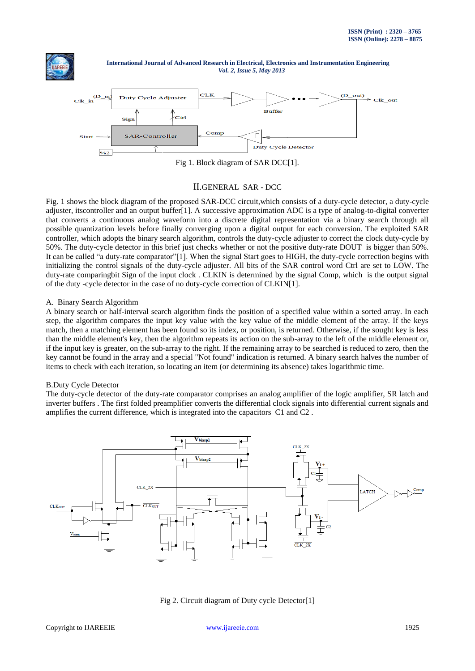



Fig 1. Block diagram of SAR DCC[1].

# II.GENERAL SAR - DCC

Fig. 1 shows the block diagram of the proposed SAR-DCC circuit,which consists of a duty-cycle detector, a duty-cycle adjuster, itscontroller and an output buffer[1]. A successive approximation ADC is a type of analog-to-digital converter that converts a continuous analog waveform into a discrete digital representation via a binary search through all possible quantization levels before finally converging upon a digital output for each conversion. The exploited SAR controller, which adopts the binary search algorithm, controls the duty-cycle adjuster to correct the clock duty-cycle by 50%. The duty-cycle detector in this brief just checks whether or not the positive duty-rate DOUT is bigger than 50%. It can be called "a duty-rate comparator"[1]. When the signal Start goes to HIGH, the duty-cycle correction begins with initializing the control signals of the duty-cycle adjuster. All bits of the SAR control word Ctrl are set to LOW. The duty-rate comparingbit Sign of the input clock . CLKIN is determined by the signal Comp, which is the output signal of the duty -cycle detector in the case of no duty-cycle correction of CLKIN[1].

## A. Binary Search Algorithm

A binary search or half-interval search algorithm finds the position of a specified value within a sorted array. In each step, the algorithm compares the input key value with the key value of the middle element of the array. If the keys match, then a matching element has been found so its index, or position, is returned. Otherwise, if the sought key is less than the middle element's key, then the algorithm repeats its action on the sub-array to the left of the middle element or, if the input key is greater, on the sub-array to the right. If the remaining array to be searched is reduced to zero, then the key cannot be found in the array and a special "Not found" indication is returned. A binary search halves the number of items to check with each iteration, so locating an item (or determining its absence) takes logarithmic time.

## B.Duty Cycle Detector

The duty-cycle detector of the duty-rate comparator comprises an analog amplifier of the logic amplifier, SR latch and inverter buffers . The first folded preamplifier converts the differential clock signals into differential current signals and amplifies the current difference, which is integrated into the capacitors C1 and C2 .



Fig 2. Circuit diagram of Duty cycle Detector[1]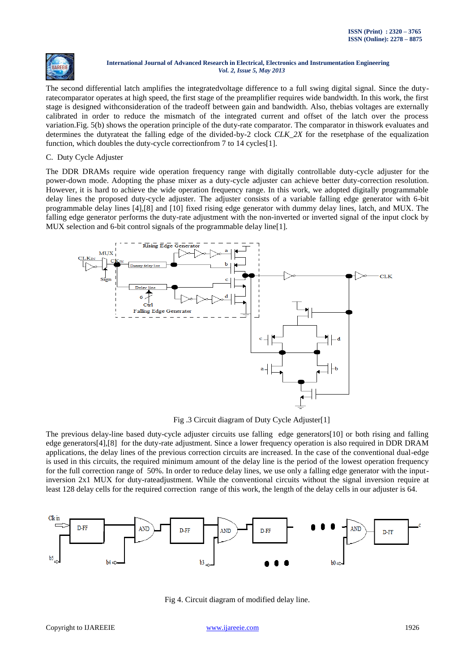

The second differential latch amplifies the integratedvoltage difference to a full swing digital signal. Since the dutyratecomparator operates at high speed, the first stage of the preamplifier requires wide bandwidth. In this work, the first stage is designed withconsideration of the tradeoff between gain and bandwidth. Also, thebias voltages are externally calibrated in order to reduce the mismatch of the integrated current and offset of the latch over the process variation.Fig. 5(b) shows the operation principle of the duty-rate comparator. The comparator in thiswork evaluates and determines the dutyrateat the falling edge of the divided-by-2 clock *CLK\_2X* for the resetphase of the equalization function, which doubles the duty-cycle correction from 7 to 14 cycles<sup>[1]</sup>.

## C. Duty Cycle Adjuster

The DDR DRAMs require wide operation frequency range with digitally controllable duty-cycle adjuster for the power-down mode. Adopting the phase mixer as a duty-cycle adjuster can achieve better duty-correction resolution. However, it is hard to achieve the wide operation frequency range. In this work, we adopted digitally programmable delay lines the proposed duty-cycle adjuster. The adjuster consists of a variable falling edge generator with 6-bit programmable delay lines [4],[8] and [10] fixed rising edge generator with dummy delay lines, latch, and MUX. The falling edge generator performs the duty-rate adjustment with the non-inverted or inverted signal of the input clock by MUX selection and 6-bit control signals of the programmable delay line[1].



Fig .3 Circuit diagram of Duty Cycle Adjuster[1]

The previous delay-line based duty-cycle adjuster circuits use falling edge generators[10] or both rising and falling edge generators[4],[8] for the duty-rate adjustment. Since a lower frequency operation is also required in DDR DRAM applications, the delay lines of the previous correction circuits are increased. In the case of the conventional dual-edge is used in this circuits, the required minimum amount of the delay line is the period of the lowest operation frequency for the full correction range of 50%. In order to reduce delay lines, we use only a falling edge generator with the inputinversion 2x1 MUX for duty-rateadjustment. While the conventional circuits without the signal inversion require at least 128 delay cells for the required correction range of this work, the length of the delay cells in our adjuster is 64.



Fig 4. Circuit diagram of modified delay line.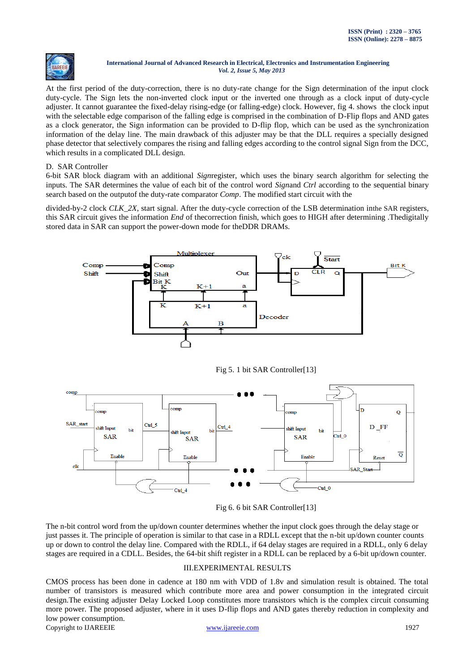

At the first period of the duty-correction, there is no duty-rate change for the Sign determination of the input clock duty-cycle. The Sign lets the non-inverted clock input or the inverted one through as a clock input of duty-cycle adjuster. It cannot guarantee the fixed-delay rising-edge (or falling-edge) clock. However, fig 4. shows the clock input with the selectable edge comparison of the falling edge is comprised in the combination of D-Flip flops and AND gates as a clock generator, the Sign information can be provided to D-flip flop, which can be used as the synchronization information of the delay line. The main drawback of this adjuster may be that the DLL requires a specially designed phase detector that selectively compares the rising and falling edges according to the control signal Sign from the DCC, which results in a complicated DLL design.

# D. SAR Controller

6-bit SAR block diagram with an additional *Sign*register, which uses the binary search algorithm for selecting the inputs. The SAR determines the value of each bit of the control word *Sign*and *Ctrl* according to the sequential binary search based on the outputof the duty-rate comparator *Comp*. The modified start circuit with the

divided-by-2 clock *CLK 2X*, start signal. After the duty-cycle correction of the LSB determination inthe SAR registers, this SAR circuit gives the information *End* of thecorrection finish, which goes to HIGH after determining .Thedigitally stored data in SAR can support the power-down mode for theDDR DRAMs.



Fig 5. 1 bit SAR Controller[13]



Fig 6. 6 bit SAR Controller[13]

The n-bit control word from the up/down counter determines whether the input clock goes through the delay stage or just passes it. The principle of operation is similar to that case in a RDLL except that the n-bit up/down counter counts up or down to control the delay line. Compared with the RDLL, if 64 delay stages are required in a RDLL, only 6 delay stages are required in a CDLL. Besides, the 64-bit shift register in a RDLL can be replaced by a 6-bit up/down counter.

# III.EXPERIMENTAL RESULTS

CMOS process has been done in cadence at 180 nm with VDD of 1.8v and simulation result is obtained. The total number of transistors is measured which contribute more area and power consumption in the integrated circuit design.The existing adjuster Delay Locked Loop constitutes more transistors which is the complex circuit consuming more power. The proposed adjuster, where in it uses D-flip flops and AND gates thereby reduction in complexity and low power consumption.

Copyright to IJAREEIE [www.ijareeie.com](http://www.ijareeie.com/) 1927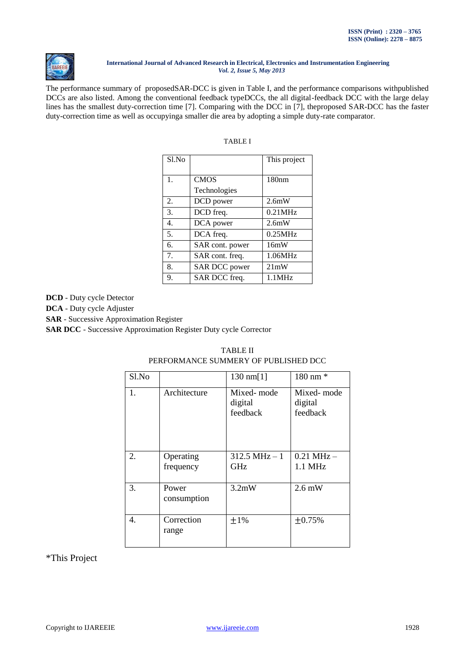

The performance summary of proposedSAR-DCC is given in Table I, and the performance comparisons withpublished DCCs are also listed. Among the conventional feedback typeDCCs, the all digital-feedback DCC with the large delay lines has the smallest duty-correction time [7]. Comparing with the DCC in [7], theproposed SAR-DCC has the faster duty-correction time as well as occupyinga smaller die area by adopting a simple duty-rate comparator.

| Sl.No          |                 | This project |
|----------------|-----------------|--------------|
| $\mathbf{1}$ . | <b>CMOS</b>     | 180nm        |
|                | Technologies    |              |
| 2.             | DCD power       | 2.6mW        |
| 3.             | DCD freq.       | $0.21$ MHz   |
| 4.             | DCA power       | 2.6mW        |
| .5.            | DCA freq.       | 0.25MHz      |
| 6.             | SAR cont. power | 16mW         |
| 7.             | SAR cont. freq. | 1.06MHz      |
| 8.             | SAR DCC power   | 21mW         |
| 9.             | SAR DCC freq.   | 1.1MHz       |

|--|

**DCD** - Duty cycle Detector

**DCA** - Duty cycle Adjuster

**SAR** - Successive Approximation Register

**SAR DCC** - Successive Approximation Register Duty cycle Corrector

| Sl.No |                        | $130 \text{ nm} [1]$                  | 180 nm *                          |
|-------|------------------------|---------------------------------------|-----------------------------------|
| 1.    | Architecture           | Mixed- mode<br>digital<br>feedback    | Mixed-mode<br>digital<br>feedback |
| 2.    | Operating<br>frequency | $312.5 \text{ MHz} - 1$<br><b>GHz</b> | $0.21$ MHz $-$<br>$1.1$ MHz       |
| 3.    | Power<br>consumption   | 3.2mW                                 | $2.6 \text{ mW}$                  |
| 4.    | Correction<br>range    | ±1%                                   | ±0.75%                            |

# TABLE II PERFORMANCE SUMMERY OF PUBLISHED DCC

\*This Project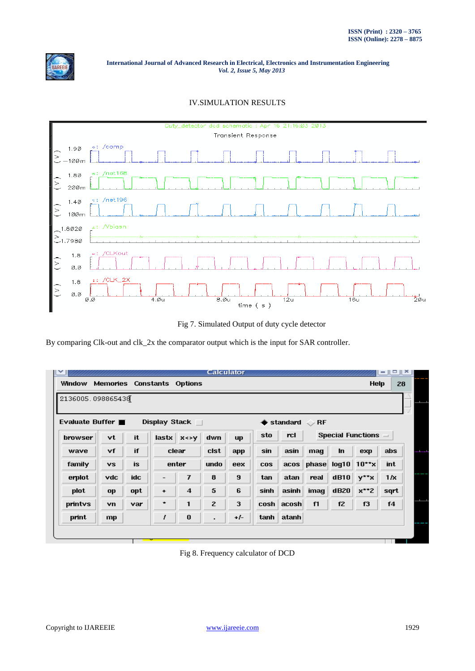

# IV.SIMULATION RESULTS



Fig 7. Simulated Output of duty cycle detector

By comparing Clk-out and clk\_2x the comparator output which is the input for SAR controller.

| <b>Window</b>     | Memories  |            |                   | <b>Constants Options</b>         |                |           |            |                          |                  |           | Help                       | 28             |
|-------------------|-----------|------------|-------------------|----------------------------------|----------------|-----------|------------|--------------------------|------------------|-----------|----------------------------|----------------|
| 2136005.098865438 |           |            |                   |                                  |                |           |            |                          |                  |           |                            |                |
| Evaluate Buffer   |           |            |                   | Display Stack $\Box$             |                |           |            | $\blacklozenge$ standard | $\mathcal{D}$ RF |           |                            |                |
| browser           | vt        | it         |                   | $lastx \mid x \leftrightarrow y$ | dwn            | <b>up</b> | sto        | rcl                      |                  |           | Special Functions $\equiv$ |                |
| wave              | ٧f        | if         |                   | clear                            | cist           | app       | sin        | asin                     | mag              | <b>In</b> | exp                        | abs            |
| family            | <b>vs</b> | <b>is</b>  |                   | enter                            | undo           | eex       | <b>COS</b> | accos                    |                  |           | phase $log10$ 10**x        | int            |
| erplot            | vdc       | <b>idc</b> | $\qquad \qquad -$ | 7                                | 8              | 9         | tan        | atan                     | real             | dB10      | y**x                       | 1/x            |
| plot              | op        | opt        | ٠                 | $\overline{4}$                   | 5              | 6         | sinh       | asinh                    | imag             | dB20      | $x**2$                     | sqrt           |
| printys           | vn.       | var        | *                 | 1                                | $\mathbf{z}$   | 3         | $\cosh  $  | acosh                    | f1               | f2        | f3                         | f <sub>4</sub> |
| print             | mp        |            | I                 | $\bf{0}$                         | $\blacksquare$ | $+/-$     |            | tanh atanh               |                  |           |                            |                |

Fig 8. Frequency calculator of DCD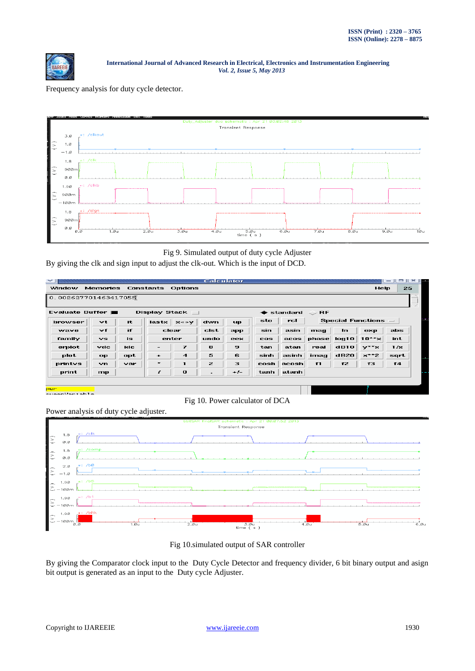

Frequency analysis for duty cycle detector.



# Fig 9. Simulated output of duty cycle Adjuster

By giving the clk and sign input to adjust the clk-out. Which is the input of DCD.

|                      |                                     |     |         |                                  | <b>Calculator</b>        |           |            |                        |                 |      |                            | -<br>$-11$ | $\approx$ |
|----------------------|-------------------------------------|-----|---------|----------------------------------|--------------------------|-----------|------------|------------------------|-----------------|------|----------------------------|------------|-----------|
| Window               | <b>Memories Constants Options</b>   |     |         |                                  |                          |           |            |                        |                 |      | <b>Help</b>                | 25         |           |
| 0.002627701463417055 |                                     |     |         |                                  |                          |           |            |                        |                 |      |                            |            |           |
| Evaluate Buffer      |                                     |     |         | Display Stack                    |                          |           |            | standard               | $\mathbf{R}$ RF |      |                            |            |           |
| browser              | vt                                  | it  |         | $lastx \mid x \leftrightarrow y$ | dwn                      | <b>up</b> | sto        | rcl                    |                 |      | Special Functions $\equiv$ |            |           |
| wave                 | vf                                  | if  |         | clear                            | cist                     | app       | sin        | asin                   | mag             | In   | exp                        | abs        |           |
| family               | vs                                  | is. |         | enter                            | undo                     | eex       | <b>COS</b> | acos                   | phase           | Iq10 | $10***$                    | int        |           |
| erplot               | $_{\mathbf{v}\mathbf{d}\mathbf{c}}$ | idc | $-$     | 7                                | 8                        | 9         | tan        | atan                   | real            | dB10 | $v^{\star\star}x$          | 17x        |           |
| plot                 | op                                  | opt | ٠       | $\boldsymbol{4}$                 | 5                        | 6         | sinh       | asinh                  | imag            | dB20 | $x^{\star \star}$ 2        | sqrt       |           |
| printys              | vn                                  | var | $\star$ | $\blacksquare$                   | $\mathbf{z}$             | з         |            | $\cosh  \text{acosh} $ | f1              | f2   | f3                         | f4         |           |
|                      |                                     |     | f       | $\bf{o}$                         | $\overline{\phantom{a}}$ | $-1-$     | tanh       | atanh                  |                 |      |                            |            |           |



Power analysis of duty cycle adjuster.



Fig 10.simulated output of SAR controller

By giving the Comparator clock input to the Duty Cycle Detector and frequency divider, 6 bit binary output and asign bit output is generated as an input to the Duty cycle Adjuster.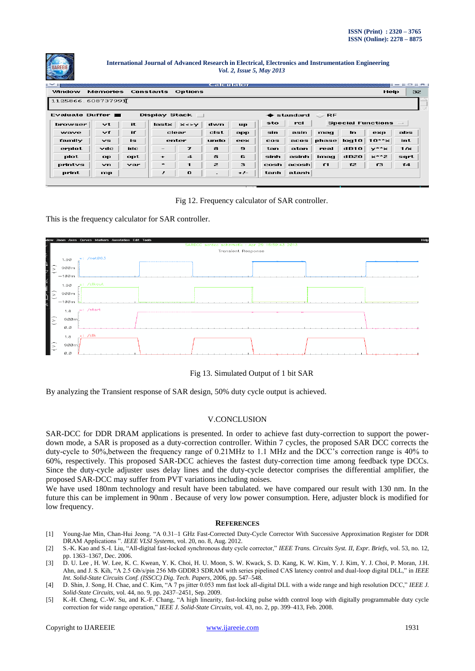

|                   |                                  |     |                      |                                  | Calculator               |           |            |          |                 |       |                          | பட≖<br>$\mathbf{r} = \mathbf{r}$ |
|-------------------|----------------------------------|-----|----------------------|----------------------------------|--------------------------|-----------|------------|----------|-----------------|-------|--------------------------|----------------------------------|
| Window            | Memories                         |     |                      | <b>Constants Options</b>         |                          |           |            |          |                 |       | Help                     | 32                               |
| 1125866.608737991 |                                  |     |                      |                                  |                          |           |            |          |                 |       |                          |                                  |
| Evaluate Buffer   |                                  |     | <b>Display Stack</b> |                                  |                          |           |            | standard | $\mathbf{>}$ RF |       |                          |                                  |
| browser           | $_{\rm vt}$                      | it. |                      | $lastx \mid x \leftrightarrow y$ | dwn                      | <b>up</b> | sto        | rcl      |                 |       | <b>Special Functions</b> | $-1$                             |
| wave              | $\vee$ f                         | if  |                      | clear                            | cist                     | app       | sin        | asin     | mag             | In.   | ехр                      | abs                              |
| family            | vs.                              | is. |                      | enter                            | undo                     | eex       | <b>COS</b> | accos    | phase           | log10 | $10***$                  | int.                             |
| erplot            | $\mathbf{v}\mathbf{d}\mathbf{c}$ | idc | $\qquad \qquad -$    | 7                                | 8                        | э         | tan        | atan     | real            | dB10  | $v^{\star\star}$ x       | 17x                              |
| plot              | op                               | opt | $\bullet$            | $\boldsymbol{4}$                 | 5                        | 6         | sinh       | asinh    | imag            | dB20  | $x^+$ $z$                | sqrt                             |
| printys           | vn.                              | var | $\star$              |                                  | $\mathbf{z}$             | з         | cosh       | acosh    | f1              | f2    | 13                       | f4                               |
| print             | mp                               |     | Ŧ                    | $\mathbf o$                      | $\overline{\phantom{a}}$ | $-1-$     | tanh       | atanh    |                 |       |                          |                                  |

## Fig 12. Frequency calculator of SAR controller.

This is the frequency calculator for SAR controller.



## Fig 13. Simulated Output of 1 bit SAR

By analyzing the Transient response of SAR design, 50% duty cycle output is achieved.

# V.CONCLUSION

SAR-DCC for DDR DRAM applications is presented. In order to achieve fast duty-correction to support the powerdown mode, a SAR is proposed as a duty-correction controller. Within 7 cycles, the proposed SAR DCC corrects the duty-cycle to 50%,between the frequency range of 0.21MHz to 1.1 MHz and the DCC's correction range is 40% to 60%, respectively. This proposed SAR-DCC achieves the fastest duty-correction time among feedback type DCCs. Since the duty-cycle adjuster uses delay lines and the duty-cycle detector comprises the differential amplifier, the proposed SAR-DCC may suffer from PVT variations including noises.

We have used 180nm technology and result have been tabulated. we have compared our result with 130 nm. In the future this can be implement in 90nm . Because of very low power consumption. Here, adjuster block is modified for low frequency.

#### **REFERENCES**

- [1] Young-Jae Min, Chan-Hui Jeong. "A 0.31–1 GHz Fast-Corrected Duty-Cycle Corrector With Successive Approximation Register for DDR DRAM Applications ". *IEEE VLSI Systems*, vol. 20, no. 8, Aug. 2012.
- [2] S.-K. Kao and S.-I. Liu, "All-digital fast-locked synchronous duty cycle corrector," *IEEE Trans. Circuits Syst. II, Expr. Briefs*, vol. 53, no. 12, pp. 1363–1367, Dec. 2006.
- [3] D. U. Lee , H. W. Lee, K. C. Kwean, Y. K. Choi, H. U. Moon, S. W. Kwack, S. D. Kang, K. W. Kim, Y. J. Kim, Y. J. Choi, P. Moran, J.H. Ahn, and J. S. Kih, "A 2.5 Gb/s/pin 256 Mb GDDR3 SDRAM with series pipelined CAS latency control and dual-loop digital DLL," in *IEEE Int. Solid-State Circuits Conf. (ISSCC) Dig. Tech. Papers*, 2006, pp. 547–548.
- [4] D. Shin, J. Song, H. Chae, and C. Kim, "A 7 ps jitter 0.053 mm fast lock all-digital DLL with a wide range and high resolution DCC," *IEEE J. Solid-State Circuits*, vol. 44, no. 9, pp. 2437–2451, Sep. 2009.
- [5] K.-H. Cheng, C.-W. Su, and K.-F. Chang, "A high linearity, fast-locking pulse width control loop with digitally programmable duty cycle correction for wide range operation," *IEEE J. Solid-State Circuits*, vol. 43, no. 2, pp. 399–413, Feb. 2008.